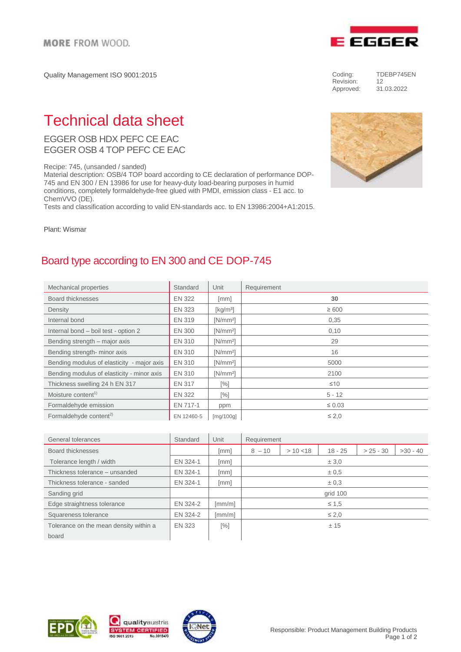Quality Management ISO 9001:2015



EGGER OSB HDX PEFC CE EAC EGGER OSB 4 TOP PEFC CE EAC

Recipe: 745, (unsanded / sanded)

Material description: OSB/4 TOP board according to CE declaration of performance DOP-745 and EN 300 / EN 13986 for use for heavy-duty load-bearing purposes in humid conditions, completely formaldehyde-free glued with PMDI, emission class - E1 acc. to ChemVVO (DE).

Tests and classification according to valid EN-standards acc. to EN 13986:2004+A1:2015.

Plant: Wismar

## Board type according to EN 300 and CE DOP-745

| Mechanical properties                      | Standard      | Unit                                    | Requirement |
|--------------------------------------------|---------------|-----------------------------------------|-------------|
| Board thicknesses                          | <b>EN 322</b> | [mm]                                    | 30          |
| Density                                    | <b>EN 323</b> | $\left[\mathrm{kg}/\mathrm{m}^3\right]$ | $\geq 600$  |
| Internal bond                              | <b>EN 319</b> | $[N/mm^2]$                              | 0,35        |
| Internal bond - boil test - option 2       | <b>EN 300</b> | $[N/mm^2]$                              | 0,10        |
| Bending strength - major axis              | <b>EN 310</b> | $[N/mm^2]$                              | 29          |
| Bending strength- minor axis               | EN 310        | IN/mm <sup>2</sup>                      | 16          |
| Bending modulus of elasticity - major axis | <b>EN 310</b> | $[N/mm^2]$                              | 5000        |
| Bending modulus of elasticity - minor axis | <b>EN 310</b> | IN/mm <sup>2</sup>                      | 2100        |
| Thickness swelling 24 h EN 317             | EN 317        | [%]                                     | $\leq 10$   |
| Moisture content <sup>1)</sup>             | <b>EN 322</b> | $[\%]$                                  | $5 - 12$    |
| Formaldehyde emission                      | EN 717-1      | ppm                                     | $\leq 0.03$ |
| Formaldehyde content <sup>2)</sup>         | EN 12460-5    | [mg/100g]                               | $\leq 2.0$  |

| General tolerances                     | Standard | Unit                 | Requirement |           |            |             |            |  |
|----------------------------------------|----------|----------------------|-------------|-----------|------------|-------------|------------|--|
| Board thicknesses                      |          | [mm]                 | $8 - 10$    | > 10 < 18 | $18 - 25$  | $> 25 - 30$ | $>30 - 40$ |  |
| Tolerance length / width               | EN 324-1 | [mm]                 | ± 3.0       |           |            |             |            |  |
| Thickness tolerance - unsanded         | EN 324-1 | [mm]                 | ± 0.5       |           |            |             |            |  |
| Thickness tolerance - sanded           | EN 324-1 | [mm]                 | $\pm 0.3$   |           |            |             |            |  |
| Sanding grid                           |          |                      | grid 100    |           |            |             |            |  |
| Edge straightness tolerance            | EN 324-2 | $\lceil mm/m \rceil$ | $\leq 1.5$  |           |            |             |            |  |
| Squareness tolerance                   | EN 324-2 | $\lceil mm/m \rceil$ |             |           | $\leq 2.0$ |             |            |  |
| Tolerance on the mean density within a | EN 323   | $[\%]$               | ± 15        |           |            |             |            |  |
| board                                  |          |                      |             |           |            |             |            |  |









Coding: TDEBP745EN<br>Revision: 12 Revision:<br>Approved:

Approved: 31.03.2022